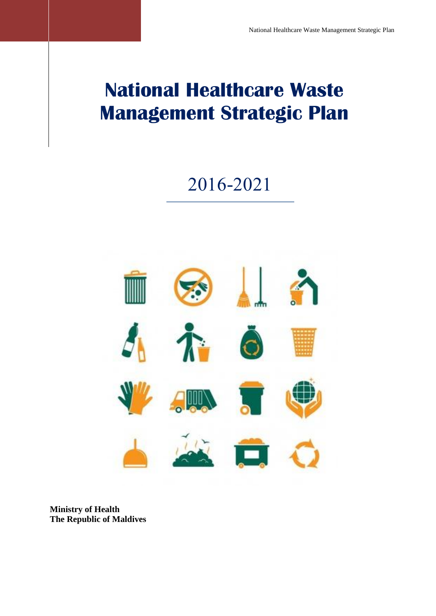# 2016-2021



**Ministry of Health The Republic of Maldives**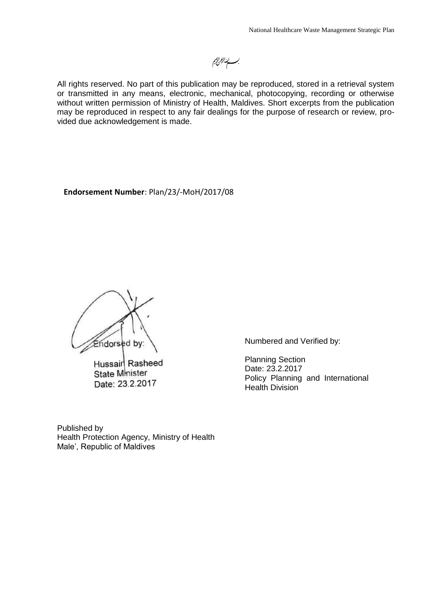# للذالرم الرحيم

All rights reserved. No part of this publication may be reproduced, stored in a retrieval system or transmitted in any means, electronic, mechanical, photocopying, recording or otherwise without written permission of Ministry of Health, Maldives. Short excerpts from the publication may be reproduced in respect to any fair dealings for the purpose of research or review, provided due acknowledgement is made.

**Endorsement Number**: Plan/23/-MoH/2017/08

Endorsed by

Hussain Rasheed **State Minister** Date: 23.2.2017

Numbered and Verified by:

Planning Section Date: 23.2.2017 Policy Planning and International Health Division

Published by Health Protection Agency, Ministry of Health Male', Republic of Maldives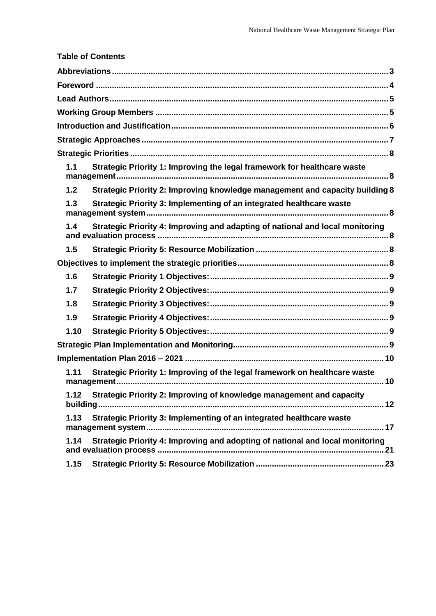<span id="page-2-0"></span>

|      | <b>Table of Contents</b>                                                          |  |
|------|-----------------------------------------------------------------------------------|--|
|      |                                                                                   |  |
|      |                                                                                   |  |
|      |                                                                                   |  |
|      |                                                                                   |  |
|      |                                                                                   |  |
|      |                                                                                   |  |
|      |                                                                                   |  |
| 1.1  | Strategic Priority 1: Improving the legal framework for healthcare waste          |  |
| 1.2  | Strategic Priority 2: Improving knowledge management and capacity building 8      |  |
| 1.3  | Strategic Priority 3: Implementing of an integrated healthcare waste              |  |
| 1.4  | Strategic Priority 4: Improving and adapting of national and local monitoring     |  |
| 1.5  |                                                                                   |  |
|      |                                                                                   |  |
| 1.6  |                                                                                   |  |
| 1.7  |                                                                                   |  |
| 1.8  |                                                                                   |  |
| 1.9  |                                                                                   |  |
| 1.10 |                                                                                   |  |
|      |                                                                                   |  |
|      |                                                                                   |  |
| 1.11 | Strategic Priority 1: Improving of the legal framework on healthcare waste<br>.10 |  |
| 1.12 | Strategic Priority 2: Improving of knowledge management and capacity              |  |
| 1.13 | Strategic Priority 3: Implementing of an integrated healthcare waste              |  |
| 1.14 | Strategic Priority 4: Improving and adopting of national and local monitoring     |  |
| 1.15 |                                                                                   |  |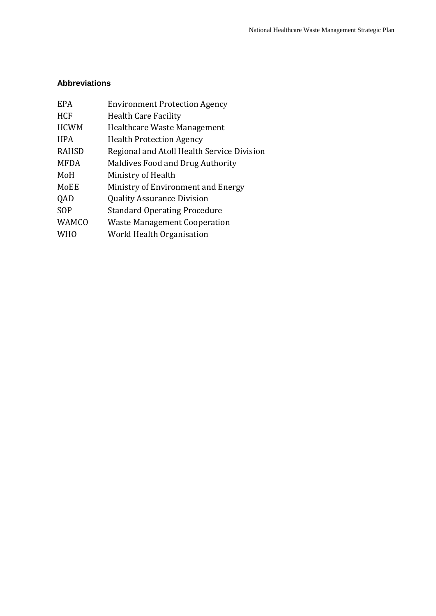#### **Abbreviations**

| <b>EPA</b>   | <b>Environment Protection Agency</b>       |
|--------------|--------------------------------------------|
| <b>HCF</b>   | <b>Health Care Facility</b>                |
| <b>HCWM</b>  | Healthcare Waste Management                |
| <b>HPA</b>   | <b>Health Protection Agency</b>            |
| <b>RAHSD</b> | Regional and Atoll Health Service Division |
| <b>MFDA</b>  | Maldives Food and Drug Authority           |
| MoH          | Ministry of Health                         |
| MoEE         | Ministry of Environment and Energy         |
| QAD          | <b>Quality Assurance Division</b>          |
| SOP          | <b>Standard Operating Procedure</b>        |
| WAMCO        | <b>Waste Management Cooperation</b>        |
| <b>WHO</b>   | World Health Organisation                  |
|              |                                            |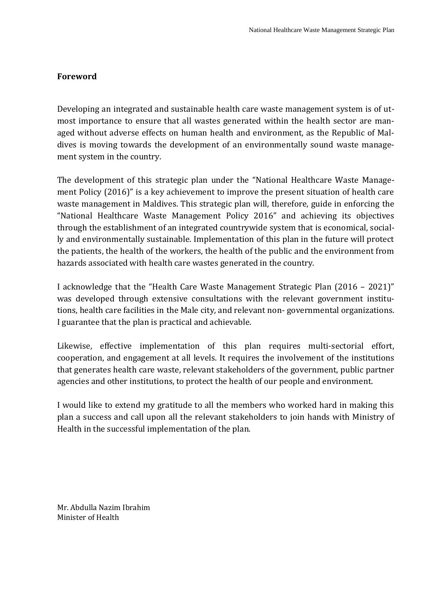#### <span id="page-4-0"></span>**Foreword**

Developing an integrated and sustainable health care waste management system is of utmost importance to ensure that all wastes generated within the health sector are managed without adverse effects on human health and environment, as the Republic of Maldives is moving towards the development of an environmentally sound waste management system in the country.

The development of this strategic plan under the "National Healthcare Waste Management Policy (2016)" is a key achievement to improve the present situation of health care waste management in Maldives. This strategic plan will, therefore, guide in enforcing the "National Healthcare Waste Management Policy 2016" and achieving its objectives through the establishment of an integrated countrywide system that is economical, socially and environmentally sustainable. Implementation of this plan in the future will protect the patients, the health of the workers, the health of the public and the environment from hazards associated with health care wastes generated in the country.

I acknowledge that the "Health Care Waste Management Strategic Plan (2016 – 2021)" was developed through extensive consultations with the relevant government institutions, health care facilities in the Male city, and relevant non- governmental organizations. I guarantee that the plan is practical and achievable.

Likewise, effective implementation of this plan requires multi-sectorial effort, cooperation, and engagement at all levels. It requires the involvement of the institutions that generates health care waste, relevant stakeholders of the government, public partner agencies and other institutions, to protect the health of our people and environment.

I would like to extend my gratitude to all the members who worked hard in making this plan a success and call upon all the relevant stakeholders to join hands with Ministry of Health in the successful implementation of the plan.

Mr. Abdulla Nazim Ibrahim Minister of Health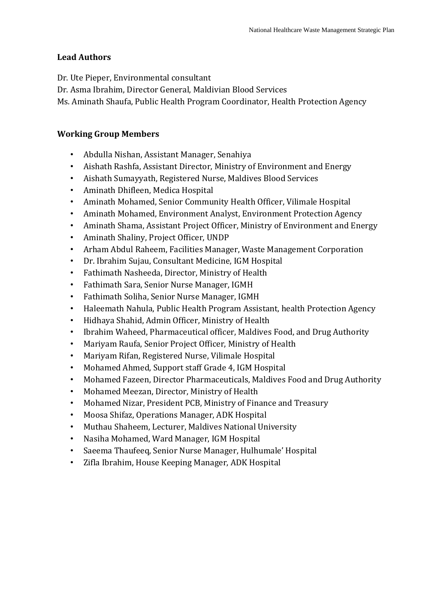#### <span id="page-5-0"></span>**Lead Authors**

Dr. Ute Pieper, Environmental consultant

Dr. Asma Ibrahim, Director General, Maldivian Blood Services

Ms. Aminath Shaufa, Public Health Program Coordinator, Health Protection Agency

#### <span id="page-5-1"></span>**Working Group Members**

- Abdulla Nishan, Assistant Manager, Senahiya
- Aishath Rashfa, Assistant Director, Ministry of Environment and Energy
- Aishath Sumayyath, Registered Nurse, Maldives Blood Services
- Aminath Dhifleen, Medica Hospital
- Aminath Mohamed, Senior Community Health Officer, Vilimale Hospital
- Aminath Mohamed, Environment Analyst, Environment Protection Agency
- Aminath Shama, Assistant Project Officer, Ministry of Environment and Energy
- Aminath Shaliny, Project Officer, UNDP
- Arham Abdul Raheem, Facilities Manager, Waste Management Corporation
- Dr. Ibrahim Sujau, Consultant Medicine, IGM Hospital
- Fathimath Nasheeda, Director, Ministry of Health
- Fathimath Sara, Senior Nurse Manager, IGMH
- Fathimath Soliha, Senior Nurse Manager, IGMH
- Haleemath Nahula, Public Health Program Assistant, health Protection Agency
- Hidhaya Shahid, Admin Officer, Ministry of Health
- Ibrahim Waheed, Pharmaceutical officer, Maldives Food, and Drug Authority
- Mariyam Raufa, Senior Project Officer, Ministry of Health
- Mariyam Rifan, Registered Nurse, Vilimale Hospital
- Mohamed Ahmed, Support staff Grade 4, IGM Hospital
- Mohamed Fazeen, Director Pharmaceuticals, Maldives Food and Drug Authority
- Mohamed Meezan, Director, Ministry of Health
- Mohamed Nizar, President PCB, Ministry of Finance and Treasury
- Moosa Shifaz, Operations Manager, ADK Hospital
- Muthau Shaheem, Lecturer, Maldives National University
- Nasiha Mohamed, Ward Manager, IGM Hospital
- Saeema Thaufeeq, Senior Nurse Manager, Hulhumale' Hospital
- Zifla Ibrahim, House Keeping Manager, ADK Hospital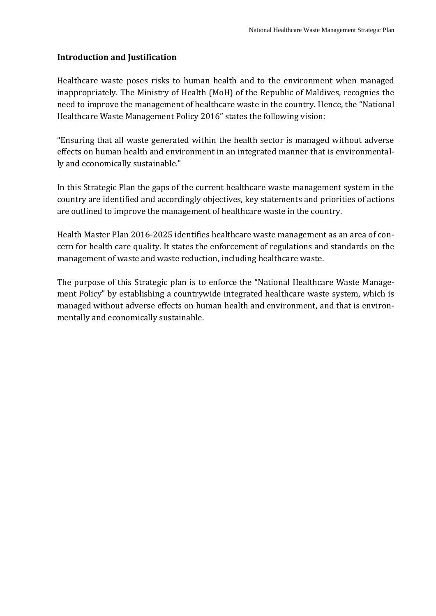#### <span id="page-6-0"></span>**Introduction and Justification**

Healthcare waste poses risks to human health and to the environment when managed inappropriately. The Ministry of Health (MoH) of the Republic of Maldives, recognies the need to improve the management of healthcare waste in the country. Hence, the "National Healthcare Waste Management Policy 2016" states the following vision:

"Ensuring that all waste generated within the health sector is managed without adverse effects on human health and environment in an integrated manner that is environmentally and economically sustainable."

In this Strategic Plan the gaps of the current healthcare waste management system in the country are identified and accordingly objectives, key statements and priorities of actions are outlined to improve the management of healthcare waste in the country.

Health Master Plan 2016-2025 identifies healthcare waste management as an area of concern for health care quality. It states the enforcement of regulations and standards on the management of waste and waste reduction, including healthcare waste.

The purpose of this Strategic plan is to enforce the "National Healthcare Waste Management Policy" by establishing a countrywide integrated healthcare waste system, which is managed without adverse effects on human health and environment, and that is environmentally and economically sustainable.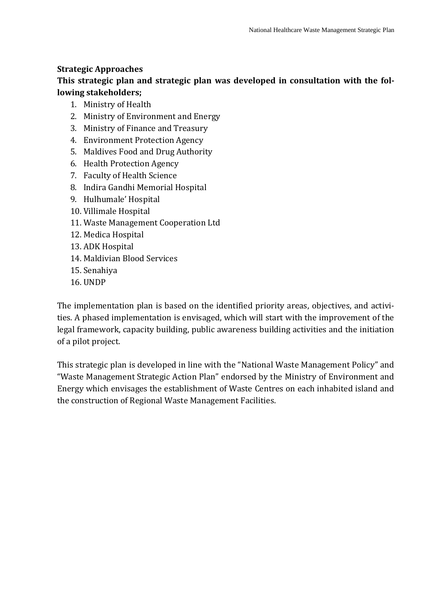#### <span id="page-7-0"></span>**Strategic Approaches**

# **This strategic plan and strategic plan was developed in consultation with the following stakeholders;**

- 1. Ministry of Health
- 2. Ministry of Environment and Energy
- 3. Ministry of Finance and Treasury
- 4. Environment Protection Agency
- 5. Maldives Food and Drug Authority
- 6. Health Protection Agency
- 7. Faculty of Health Science
- 8. Indira Gandhi Memorial Hospital
- 9. Hulhumale' Hospital
- 10. Villimale Hospital
- 11. Waste Management Cooperation Ltd
- 12. Medica Hospital
- 13. ADK Hospital
- 14. Maldivian Blood Services
- 15. Senahiya
- 16. UNDP

The implementation plan is based on the identified priority areas, objectives, and activities. A phased implementation is envisaged, which will start with the improvement of the legal framework, capacity building, public awareness building activities and the initiation of a pilot project.

This strategic plan is developed in line with the "National Waste Management Policy" and "Waste Management Strategic Action Plan" endorsed by the Ministry of Environment and Energy which envisages the establishment of Waste Centres on each inhabited island and the construction of Regional Waste Management Facilities.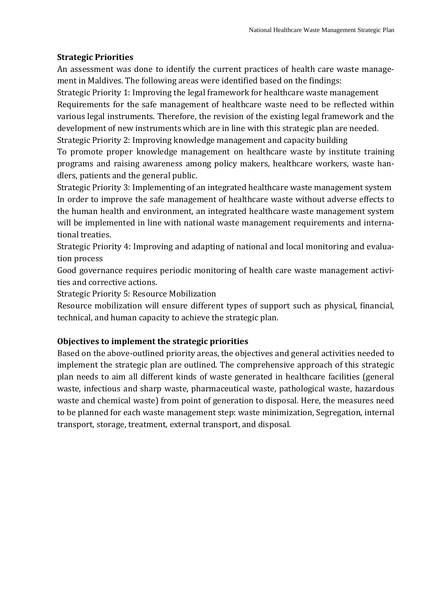#### <span id="page-8-0"></span>**Strategic Priorities**

An assessment was done to identify the current practices of health care waste management in Maldives. The following areas were identified based on the findings:

<span id="page-8-1"></span>Strategic Priority 1: Improving the legal framework for healthcare waste management Requirements for the safe management of healthcare waste need to be reflected within various legal instruments. Therefore, the revision of the existing legal framework and the development of new instruments which are in line with this strategic plan are needed. Strategic Priority 2: Improving knowledge management and capacity building

<span id="page-8-2"></span>To promote proper knowledge management on healthcare waste by institute training programs and raising awareness among policy makers, healthcare workers, waste handlers, patients and the general public.

<span id="page-8-3"></span>Strategic Priority 3: Implementing of an integrated healthcare waste management system In order to improve the safe management of healthcare waste without adverse effects to the human health and environment, an integrated healthcare waste management system will be implemented in line with national waste management requirements and international treaties.

<span id="page-8-4"></span>Strategic Priority 4: Improving and adapting of national and local monitoring and evaluation process

Good governance requires periodic monitoring of health care waste management activities and corrective actions.

<span id="page-8-5"></span>Strategic Priority 5: Resource Mobilization

Resource mobilization will ensure different types of support such as physical, financial, technical, and human capacity to achieve the strategic plan.

#### <span id="page-8-6"></span>**Objectives to implement the strategic priorities**

Based on the above-outlined priority areas, the objectives and general activities needed to implement the strategic plan are outlined. The comprehensive approach of this strategic plan needs to aim all different kinds of waste generated in healthcare facilities (general waste, infectious and sharp waste, pharmaceutical waste, pathological waste, hazardous waste and chemical waste) from point of generation to disposal. Here, the measures need to be planned for each waste management step: waste minimization, Segregation, internal transport, storage, treatment, external transport, and disposal.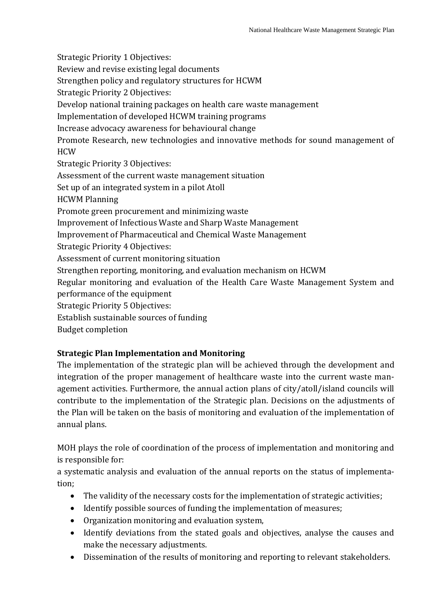<span id="page-9-2"></span><span id="page-9-1"></span><span id="page-9-0"></span>Strategic Priority 1 Objectives: Review and revise existing legal documents Strengthen policy and regulatory structures for HCWM Strategic Priority 2 Objectives: Develop national training packages on health care waste management Implementation of developed HCWM training programs Increase advocacy awareness for behavioural change Promote Research, new technologies and innovative methods for sound management of HCW Strategic Priority 3 Objectives: Assessment of the current waste management situation Set up of an integrated system in a pilot Atoll HCWM Planning Promote green procurement and minimizing waste Improvement of Infectious Waste and Sharp Waste Management Improvement of Pharmaceutical and Chemical Waste Management Strategic Priority 4 Objectives: Assessment of current monitoring situation Strengthen reporting, monitoring, and evaluation mechanism on HCWM Regular monitoring and evaluation of the Health Care Waste Management System and performance of the equipment Strategic Priority 5 Objectives: Establish sustainable sources of funding

#### <span id="page-9-4"></span><span id="page-9-3"></span>Budget completion

### <span id="page-9-5"></span>**Strategic Plan Implementation and Monitoring**

The implementation of the strategic plan will be achieved through the development and integration of the proper management of healthcare waste into the current waste management activities. Furthermore, the annual action plans of city/atoll/island councils will contribute to the implementation of the Strategic plan. Decisions on the adjustments of the Plan will be taken on the basis of monitoring and evaluation of the implementation of annual plans.

MOH plays the role of coordination of the process of implementation and monitoring and is responsible for:

a systematic analysis and evaluation of the annual reports on the status of implementation;

- The validity of the necessary costs for the implementation of strategic activities;
- Identify possible sources of funding the implementation of measures;
- Organization monitoring and evaluation system,
- Identify deviations from the stated goals and objectives, analyse the causes and make the necessary adjustments.
- Dissemination of the results of monitoring and reporting to relevant stakeholders.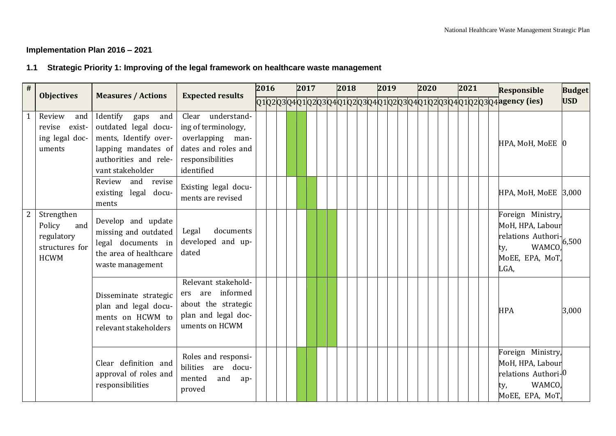#### **Implementation Plan 2016 – 2021**

# **1.1 Strategic Priority 1: Improving of the legal framework on healthcare waste management**

<span id="page-10-1"></span><span id="page-10-0"></span>

| $\overline{\#}$ | <b>Objectives</b>                                                          |                                                                                                                                              | <b>Expected results</b>                                                                                               | 2016 |  | 2017 |  | 2018 |  | 2019 |  | 2020 |  | 2021 |  | <b>Responsible</b>                                                                                            | <b>Budget</b> |
|-----------------|----------------------------------------------------------------------------|----------------------------------------------------------------------------------------------------------------------------------------------|-----------------------------------------------------------------------------------------------------------------------|------|--|------|--|------|--|------|--|------|--|------|--|---------------------------------------------------------------------------------------------------------------|---------------|
|                 |                                                                            | <b>Measures / Actions</b>                                                                                                                    |                                                                                                                       |      |  |      |  |      |  |      |  |      |  |      |  | 01020304010203040102020304010202030401020203040102020304                                                      | <b>USD</b>    |
|                 | Review<br>and<br>exist-<br>revise<br>ing legal doc-<br>uments              | Identify<br>gaps<br>and<br>outdated legal docu-<br>ments, Identify over-<br>lapping mandates of<br>authorities and rele-<br>vant stakeholder | Clear understand-<br>ing of terminology,<br>overlapping man-<br>dates and roles and<br>responsibilities<br>identified |      |  |      |  |      |  |      |  |      |  |      |  | HPA, MoH, MoEE                                                                                                |               |
|                 |                                                                            | Review and revise<br>existing legal docu-<br>ments                                                                                           | Existing legal docu-<br>ments are revised                                                                             |      |  |      |  |      |  |      |  |      |  |      |  | HPA, MoH, MoEE 3,000                                                                                          |               |
| $\overline{2}$  | Strengthen<br>Policy<br>and<br>regulatory<br>structures for<br><b>HCWM</b> | Develop and update<br>missing and outdated<br>legal documents in<br>the area of healthcare<br>waste management                               | Legal<br>documents<br>developed and up-<br>dated                                                                      |      |  |      |  |      |  |      |  |      |  |      |  | Foreign Ministry,<br>MoH, HPA, Labour<br>relations Authori-<br><b>WAMCO</b><br>ty,<br>MOEE, EPA, MOT,<br>LGA, | 6.500         |
|                 |                                                                            | Disseminate strategic<br>plan and legal docu-<br>ments on HCWM to<br>relevant stakeholders                                                   | Relevant stakehold-<br>ers are informed<br>about the strategic<br>plan and legal doc-<br>uments on HCWM               |      |  |      |  |      |  |      |  |      |  |      |  | <b>HPA</b>                                                                                                    | 3,000         |
|                 |                                                                            | Clear definition and<br>approval of roles and<br>responsibilities                                                                            | Roles and responsi-<br>bilities are docu-<br>mented<br>and<br>ap-<br>proved                                           |      |  |      |  |      |  |      |  |      |  |      |  | Foreign Ministry,<br>MoH, HPA, Labour<br>relations Authori-0<br>WAMCO,<br>ty,<br>MOEE, EPA, MOT,              |               |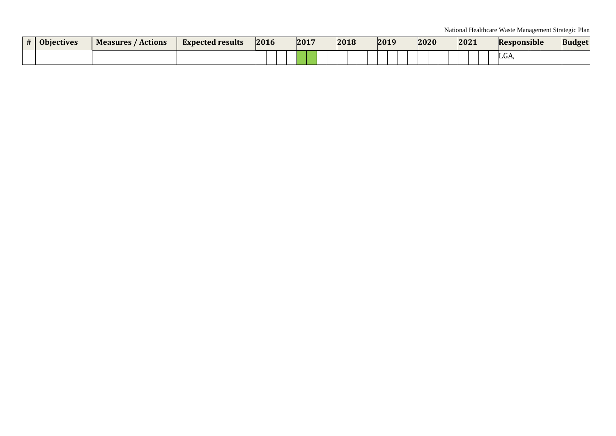| $+$ | <b>Objectives</b> | Measures /<br>' Actions | <b>Expected results</b> | 2016 | 2017 | 2018 | 2019 | 2020 | 2021 | <b>Responsible</b> | <b>Budget</b> |
|-----|-------------------|-------------------------|-------------------------|------|------|------|------|------|------|--------------------|---------------|
|     |                   |                         |                         |      |      |      |      |      |      | LUA                |               |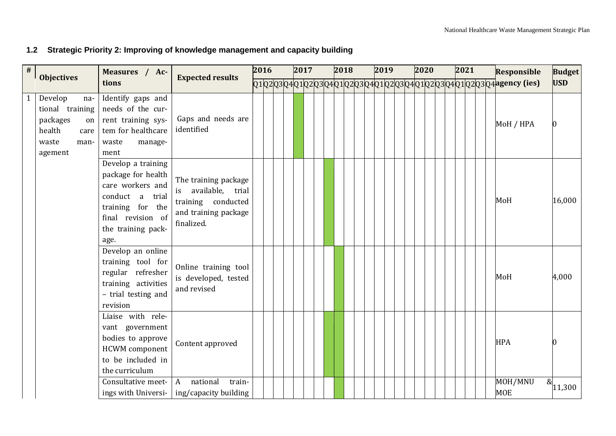# **1.2 Strategic Priority 2: Improving of knowledge management and capacity building**

<span id="page-12-0"></span>

| $\#$ |                                                                                                   | Measures / Ac-                                                                                                                                            |                                                                                                               | 2016 |  | 2017 |  | 2018 |  | 2019 |  | 2020 |  | 2021 |  | <b>Responsible</b>                                                        | <b>Budget</b>         |
|------|---------------------------------------------------------------------------------------------------|-----------------------------------------------------------------------------------------------------------------------------------------------------------|---------------------------------------------------------------------------------------------------------------|------|--|------|--|------|--|------|--|------|--|------|--|---------------------------------------------------------------------------|-----------------------|
|      | <b>Objectives</b>                                                                                 | tions                                                                                                                                                     | <b>Expected results</b>                                                                                       |      |  |      |  |      |  |      |  |      |  |      |  | $Q1Q2Q3Q4Q1Q2Q3Q4Q1Q2Q3Q4Q1Q2Q2Q3Q4Q1Q2Q3Q4Q1Q2Q3Q4Q1Q2Q3Q4$ agency (ies) | <b>USD</b>            |
| 1    | Develop<br>na-<br>tional training<br>packages<br>on<br>health<br>care<br>waste<br>man-<br>agement | Identify gaps and<br>needs of the cur-<br>rent training sys-<br>tem for healthcare<br>waste<br>manage-<br>ment                                            | Gaps and needs are<br>identified                                                                              |      |  |      |  |      |  |      |  |      |  |      |  | MoH / HPA                                                                 |                       |
|      |                                                                                                   | Develop a training<br>package for health<br>care workers and<br>conduct a<br>trial<br>training for the<br>final revision of<br>the training pack-<br>age. | The training package<br>available,<br>trial<br>is<br>training conducted<br>and training package<br>finalized. |      |  |      |  |      |  |      |  |      |  |      |  | MoH                                                                       | 16,000                |
|      |                                                                                                   | Develop an online<br>training tool for<br>regular refresher<br>training activities<br>- trial testing and<br>revision                                     | Online training tool<br>is developed, tested<br>and revised                                                   |      |  |      |  |      |  |      |  |      |  |      |  | MoH                                                                       | 4,000                 |
|      |                                                                                                   | Liaise with rele-<br>vant government<br>bodies to approve<br><b>HCWM</b> component<br>to be included in<br>the curriculum                                 | Content approved                                                                                              |      |  |      |  |      |  |      |  |      |  |      |  | <b>HPA</b>                                                                |                       |
|      |                                                                                                   | Consultative meet-                                                                                                                                        | national<br>train-<br>A<br>ings with Universi- $\vert$ ing/capacity building                                  |      |  |      |  |      |  |      |  |      |  |      |  | MOH/MNU<br><b>MOE</b>                                                     | $\bar{\alpha}$ 11,300 |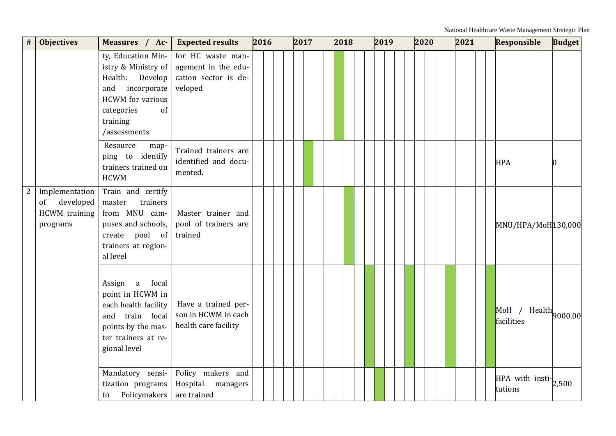| #            | <b>Objectives</b>                                              | Measures / Ac-                                                                                                                                                   | <b>Expected results</b>                                                     | 2016 | 2017 | 2018 | 2019 | 2020 | 2021 | Responsible                                                  | <b>Budget</b> |
|--------------|----------------------------------------------------------------|------------------------------------------------------------------------------------------------------------------------------------------------------------------|-----------------------------------------------------------------------------|------|------|------|------|------|------|--------------------------------------------------------------|---------------|
|              |                                                                | ty, Education Min-<br>istry & Ministry of<br>Health:<br>Develop<br>incorporate<br>and<br><b>HCWM</b> for various<br>categories<br>of<br>training<br>/assessments | for HC waste man-<br>agement in the edu-<br>cation sector is de-<br>veloped |      |      |      |      |      |      |                                                              |               |
|              |                                                                | Resource<br>map-<br>ping to identify<br>trainers trained on<br><b>HCWM</b>                                                                                       | Trained trainers are<br>identified and docu-<br>mented.                     |      |      |      |      |      |      | <b>HPA</b>                                                   |               |
| $\mathbf{2}$ | Implementation<br>developed<br>of<br>HCWM training<br>programs | Train and certify<br>trainers<br>master<br>from MNU cam-<br>puses and schools,<br>create pool of<br>trainers at region-<br>al level                              | Master trainer and<br>pool of trainers are<br>trained                       |      |      |      |      |      |      | MNU/HPA/MoH130,000                                           |               |
|              |                                                                | focal<br>Assign a<br>point in HCWM in<br>each health facility<br>and train focal<br>points by the mas-<br>ter trainers at re-<br>gional level                    | Have a trained per-<br>son in HCWM in each<br>health care facility          |      |      |      |      |      |      | $\sqrt{\text{MoH}}$ / Health $\vert_{9000.00}$<br>facilities |               |
|              |                                                                | Mandatory sensi-<br>tization programs<br>Policymakers<br>to                                                                                                      | Policy makers and<br>Hospital<br>managers<br>are trained                    |      |      |      |      |      |      | $HPA$ with insti- $2,500$<br>tutions                         |               |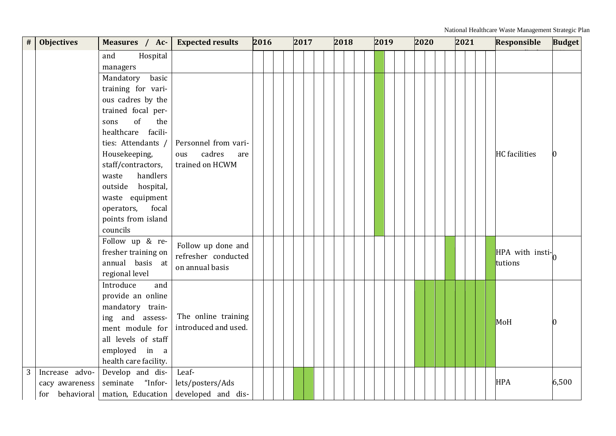| #              | <b>Objectives</b>                | Measures / Ac-                                                                                                                                                                                                                                                                                                       | <b>Expected results</b>                                         | 2016 |  | 2017 |  | 2018 |  |  | 2019 |  | 2020 |  | 2021 |  | <b>Responsible</b>         | <b>Budget</b> |
|----------------|----------------------------------|----------------------------------------------------------------------------------------------------------------------------------------------------------------------------------------------------------------------------------------------------------------------------------------------------------------------|-----------------------------------------------------------------|------|--|------|--|------|--|--|------|--|------|--|------|--|----------------------------|---------------|
|                |                                  | and<br>Hospital<br>managers                                                                                                                                                                                                                                                                                          |                                                                 |      |  |      |  |      |  |  |      |  |      |  |      |  |                            |               |
|                |                                  | Mandatory<br>basic<br>training for vari-<br>ous cadres by the<br>trained focal per-<br>of<br>sons<br>the<br>healthcare<br>facili-<br>ties: Attendants /<br>Housekeeping,<br>staff/contractors,<br>handlers<br>waste<br>outside hospital,<br>waste equipment<br>operators,<br>focal<br>points from island<br>councils | Personnel from vari-<br>cadres<br>ous<br>are<br>trained on HCWM |      |  |      |  |      |  |  |      |  |      |  |      |  | <b>HC</b> facilities       |               |
|                |                                  | Follow up & re-<br>fresher training on<br>annual basis at<br>regional level                                                                                                                                                                                                                                          | Follow up done and<br>refresher conducted<br>on annual basis    |      |  |      |  |      |  |  |      |  |      |  |      |  | HPA with insti-<br>tutions |               |
|                |                                  | Introduce<br>and<br>provide an online<br>mandatory train-<br>ing and assess-<br>ment module for<br>all levels of staff<br>employed in a<br>health care facility.                                                                                                                                                     | The online training<br>introduced and used.                     |      |  |      |  |      |  |  |      |  |      |  |      |  | MoH                        |               |
| 3 <sup>1</sup> | Increase advo-<br>cacy awareness | Develop and dis-<br>"Infor-<br>seminate<br>for behavioral   mation, Education                                                                                                                                                                                                                                        | Leaf-<br>lets/posters/Ads<br>developed and dis-                 |      |  |      |  |      |  |  |      |  |      |  |      |  | <b>HPA</b>                 | 6,500         |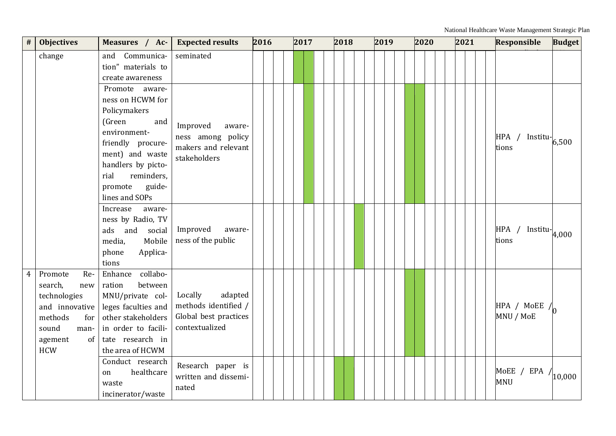| $\#$           | <b>Objectives</b>                                                                                                                    | Measures / Ac-                                                                                                                                                                                                 | <b>Expected results</b>                                                               | 2016 |  | 2017 |  | 2018 |  | 2019 |  | 2020 |  | 2021 |  | <b>Responsible</b>                       | <b>Budget</b>                  |
|----------------|--------------------------------------------------------------------------------------------------------------------------------------|----------------------------------------------------------------------------------------------------------------------------------------------------------------------------------------------------------------|---------------------------------------------------------------------------------------|------|--|------|--|------|--|------|--|------|--|------|--|------------------------------------------|--------------------------------|
|                | change                                                                                                                               | Communica-<br>and<br>tion" materials to<br>create awareness                                                                                                                                                    | seminated                                                                             |      |  |      |  |      |  |      |  |      |  |      |  |                                          |                                |
|                |                                                                                                                                      | Promote aware-<br>ness on HCWM for<br>Policymakers<br>(Green<br>and<br>environment-<br>friendly procure-<br>ment) and waste<br>handlers by picto-<br>rial<br>reminders,<br>guide-<br>promote<br>lines and SOPs | Improved<br>aware-<br>ness among policy<br>makers and relevant<br>stakeholders        |      |  |      |  |      |  |      |  |      |  |      |  | HPA /<br>tions                           | $Institu$ <sup>-</sup> $6,500$ |
|                |                                                                                                                                      | Increase<br>aware-<br>ness by Radio, TV<br>ads and social<br>media,<br>Mobile<br>phone<br>Applica-<br>tions                                                                                                    | Improved<br>aware-<br>ness of the public                                              |      |  |      |  |      |  |      |  |      |  |      |  | $HPA / Institute \n4,000$<br>tions       |                                |
| $\overline{4}$ | Promote<br>Re-<br>search,<br>new<br>technologies<br>and innovative<br>methods<br>for<br>sound<br>man-<br>agement<br>of<br><b>HCW</b> | Enhance<br>collabo-<br>ration<br>between<br>MNU/private col-<br>leges faculties and<br>other stakeholders<br>in order to facili-<br>tate research in<br>the area of HCWM                                       | Locally<br>adapted<br>methods identified /<br>Global best practices<br>contextualized |      |  |      |  |      |  |      |  |      |  |      |  | HPA / MoEE /<br>MNU / MoE                |                                |
|                |                                                                                                                                      | Conduct research<br>healthcare<br>on<br>waste<br>incinerator/waste                                                                                                                                             | Research paper is<br>written and dissemi-<br>nated                                    |      |  |      |  |      |  |      |  |      |  |      |  | MOEE / EPA $\sqrt{10,000}$<br><b>MNU</b> |                                |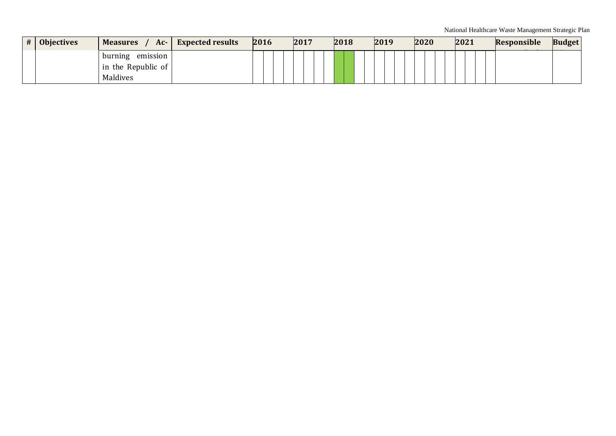| # | <b>Objectives</b> | <b>Measures</b><br>AC | <b>Expected results</b> | 2016 |  | 2017 |  | 2018 | 2019 | 2020 |  | 2021 |  | <b>Responsible</b> | <b>Budget</b> |
|---|-------------------|-----------------------|-------------------------|------|--|------|--|------|------|------|--|------|--|--------------------|---------------|
|   |                   | burning<br>emission   |                         |      |  |      |  |      |      |      |  |      |  |                    |               |
|   |                   | in the Republic of    |                         |      |  |      |  |      |      |      |  |      |  |                    |               |
|   |                   | Maldives              |                         |      |  |      |  |      |      |      |  |      |  |                    |               |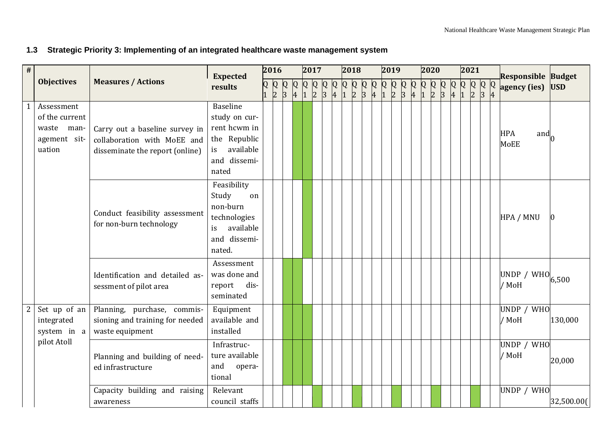# **1.3 Strategic Priority 3: Implementing of an integrated healthcare waste management system**

<span id="page-17-0"></span>

| $\#$           |                                                                      |                                                                                                  | <b>Expected</b>                                                                                              | 2016                                                    |  | 2017 |  | 2018 |  | 2019 |  | 2020 |  | 2021 |  | <b>Responsible Budget</b>                |            |
|----------------|----------------------------------------------------------------------|--------------------------------------------------------------------------------------------------|--------------------------------------------------------------------------------------------------------------|---------------------------------------------------------|--|------|--|------|--|------|--|------|--|------|--|------------------------------------------|------------|
|                | <b>Objectives</b>                                                    | <b>Measures / Actions</b>                                                                        | results                                                                                                      | $\begin{array}{c c} Q & Q & Q \\ 1 & 2 & 3 \end{array}$ |  |      |  |      |  |      |  |      |  |      |  | agency (ies)                             | <b>USD</b> |
|                | Assessment<br>of the current<br>waste man-<br>agement sit-<br>uation | Carry out a baseline survey in<br>collaboration with MoEE and<br>disseminate the report (online) | <b>Baseline</b><br>study on cur-<br>rent hcwm in<br>the Republic<br>available<br>is<br>and dissemi-<br>nated |                                                         |  |      |  |      |  |      |  |      |  |      |  | <b>HPA</b><br>and $\overline{h}$<br>MoEE |            |
|                |                                                                      | Conduct feasibility assessment<br>for non-burn technology                                        | Feasibility<br>Study<br>on<br>non-burn<br>technologies<br>available<br>is<br>and dissemi-<br>nated.          |                                                         |  |      |  |      |  |      |  |      |  |      |  | HPA / MNU                                |            |
|                |                                                                      | Identification and detailed as-<br>sessment of pilot area                                        | Assessment<br>was done and<br>report dis-<br>seminated                                                       |                                                         |  |      |  |      |  |      |  |      |  |      |  | UNDP / WHO<br>/ MoH                      | 6,500      |
| $\overline{c}$ | Set up of an<br>integrated<br>system in a                            | Planning, purchase, commis-<br>sioning and training for needed<br>waste equipment                | Equipment<br>available and<br>installed                                                                      |                                                         |  |      |  |      |  |      |  |      |  |      |  | UNDP / WHO<br>/ MoH                      | 130,000    |
|                | pilot Atoll                                                          | Planning and building of need-<br>ed infrastructure                                              | Infrastruc-<br>ture available<br>and<br>opera-<br>tional                                                     |                                                         |  |      |  |      |  |      |  |      |  |      |  | UNDP / WHO<br>/ MoH                      | 20,000     |
|                |                                                                      | Capacity building and raising<br>awareness                                                       | Relevant<br>council staffs                                                                                   |                                                         |  |      |  |      |  |      |  |      |  |      |  | UNDP / WHO                               | 32,500.00( |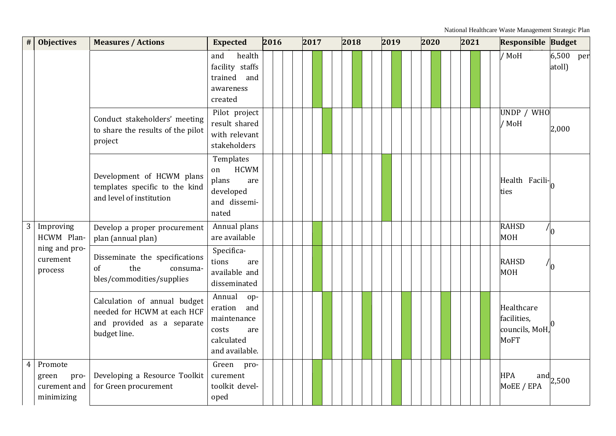| <b>Objectives</b><br>#                                      | <b>Measures / Actions</b>                                                                                 | <b>Expected</b>                                                                             | 2016 | 2017 | 2018 | 2019 | 2020 | 2021 | <b>Responsible Budget</b>                                  |                     |
|-------------------------------------------------------------|-----------------------------------------------------------------------------------------------------------|---------------------------------------------------------------------------------------------|------|------|------|------|------|------|------------------------------------------------------------|---------------------|
|                                                             |                                                                                                           | health<br>and<br>facility staffs<br>trained and<br>awareness<br>created                     |      |      |      |      |      |      | / MoH                                                      | 6,500 per<br>atoll) |
|                                                             | Conduct stakeholders' meeting<br>to share the results of the pilot<br>project                             | Pilot project<br>result shared<br>with relevant<br>stakeholders                             |      |      |      |      |      |      | UNDP / WHO<br>/ MoH                                        | 2,000               |
|                                                             | Development of HCWM plans<br>templates specific to the kind<br>and level of institution                   | Templates<br><b>HCWM</b><br>on<br>plans<br>are<br>developed<br>and dissemi-<br>nated        |      |      |      |      |      |      | Health Facili-<br>ties                                     |                     |
| 3<br>Improving<br>HCWM Plan-                                | Develop a proper procurement<br>plan (annual plan)                                                        | Annual plans<br>are available                                                               |      |      |      |      |      |      | <b>RAHSD</b><br><b>MOH</b>                                 | $\frac{1}{0}$       |
| ning and pro-<br>curement<br>process                        | Disseminate the specifications<br>of<br>the<br>consuma-<br>bles/commodities/supplies                      | Specifica-<br>tions<br>are<br>available and<br>disseminated                                 |      |      |      |      |      |      | <b>RAHSD</b><br><b>MOH</b>                                 |                     |
|                                                             | Calculation of annual budget<br>needed for HCWM at each HCF<br>and provided as a separate<br>budget line. | Annual<br>op-<br>eration and<br>maintenance<br>costs<br>are<br>calculated<br>and available. |      |      |      |      |      |      | Healthcare<br>facilities,<br>councils, MoH,<br><b>MoFT</b> |                     |
| Promote<br>4<br>green<br>pro-<br>curement and<br>minimizing | Developing a Resource Toolkit<br>for Green procurement                                                    | Green pro-<br>curement<br>toolkit devel-<br>oped                                            |      |      |      |      |      |      | <b>HPA</b><br>MoEE / EPA                                   | and $2,500$         |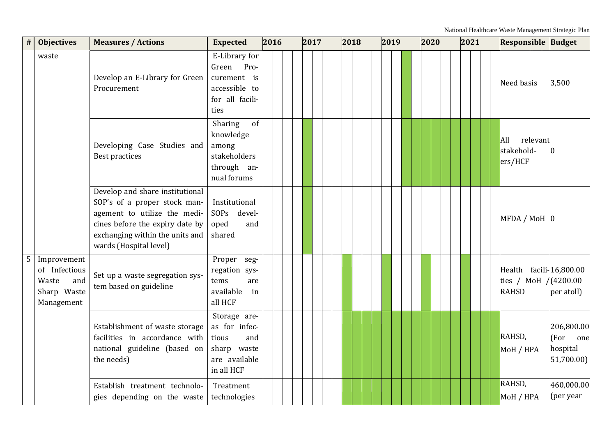|                 | <b>Objectives</b><br>#                                                    | <b>Measures / Actions</b>                                                                                                                                                                       | <b>Expected</b>                                                                             | 2016 | 2017 |  | 2018 | 2019 |  | 2020 |  | 2021 |  | <b>Responsible Budget</b>                                          |                                                  |
|-----------------|---------------------------------------------------------------------------|-------------------------------------------------------------------------------------------------------------------------------------------------------------------------------------------------|---------------------------------------------------------------------------------------------|------|------|--|------|------|--|------|--|------|--|--------------------------------------------------------------------|--------------------------------------------------|
|                 | waste                                                                     | Develop an E-Library for Green<br>Procurement                                                                                                                                                   | E-Library for<br>Green<br>Pro-<br>curement is<br>accessible to<br>for all facili-<br>ties   |      |      |  |      |      |  |      |  |      |  | Need basis                                                         | 3,500                                            |
|                 |                                                                           | Developing Case Studies and<br>Best practices                                                                                                                                                   | Sharing<br>of<br>knowledge<br>among<br>stakeholders<br>through an-<br>nual forums           |      |      |  |      |      |  |      |  |      |  | All<br>relevant<br>stakehold-<br>ers/HCF                           |                                                  |
|                 |                                                                           | Develop and share institutional<br>SOP's of a proper stock man-<br>agement to utilize the medi-<br>cines before the expiry date by<br>exchanging within the units and<br>wards (Hospital level) | Institutional<br>SOPs devel-<br>oped<br>and<br>shared                                       |      |      |  |      |      |  |      |  |      |  | $MFDA/MOH$ 0                                                       |                                                  |
| $5\phantom{.0}$ | Improvement<br>of Infectious<br>and<br>Waste<br>Sharp Waste<br>Management | Set up a waste segregation sys-<br>tem based on guideline                                                                                                                                       | Proper seg-<br>regation sys-<br>tems<br>are<br>available<br>in<br>all HCF                   |      |      |  |      |      |  |      |  |      |  | Health facili-16,800.00<br>ties / MoH $/(4200.00)$<br><b>RAHSD</b> | per atoll)                                       |
|                 |                                                                           | Establishment of waste storage<br>facilities in accordance with<br>national guideline (based on<br>the needs)                                                                                   | Storage are-<br>as for infec-<br>tious<br>and<br>sharp waste<br>are available<br>in all HCF |      |      |  |      |      |  |      |  |      |  | RAHSD,<br>MoH / HPA                                                | 206,800.00<br>(For one<br>hospital<br>51,700.00) |
|                 |                                                                           | Establish treatment technolo-<br>gies depending on the waste                                                                                                                                    | Treatment<br>technologies                                                                   |      |      |  |      |      |  |      |  |      |  | RAHSD,<br>MoH / HPA                                                | 460,000.00<br>(per year                          |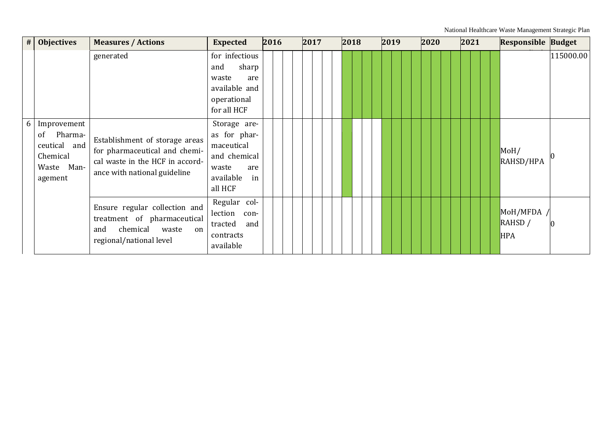| #              | <b>Objectives</b>                                                                 | <b>Measures / Actions</b>                                                                                                          | <b>Expected</b>                                                                                          | 2016 | 2017 | 2018 | 2019 | 2020 | 2021 | <b>Responsible Budget</b>         |           |
|----------------|-----------------------------------------------------------------------------------|------------------------------------------------------------------------------------------------------------------------------------|----------------------------------------------------------------------------------------------------------|------|------|------|------|------|------|-----------------------------------|-----------|
|                |                                                                                   | generated                                                                                                                          | for infectious<br>sharp<br>and<br>waste<br>are<br>available and<br>operational<br>for all HCF            |      |      |      |      |      |      |                                   | 115000.00 |
| 6 <sup>1</sup> | Improvement<br>Pharma-<br>of<br>ceutical and<br>Chemical<br>Waste Man-<br>agement | Establishment of storage areas<br>for pharmaceutical and chemi-<br>cal waste in the HCF in accord-<br>ance with national guideline | Storage are-<br>as for phar-<br>maceutical<br>and chemical<br>waste<br>are<br>available<br>in<br>all HCF |      |      |      |      |      |      | MOH/<br>RAHSD/HPA                 |           |
|                |                                                                                   | Ensure regular collection and<br>treatment of pharmaceutical<br>chemical<br>waste<br>and<br>on<br>regional/national level          | Regular col-<br>lection con-<br>tracted<br>and<br>contracts<br>available                                 |      |      |      |      |      |      | MoH/MFDA<br>RAHSD /<br><b>HPA</b> | Ю         |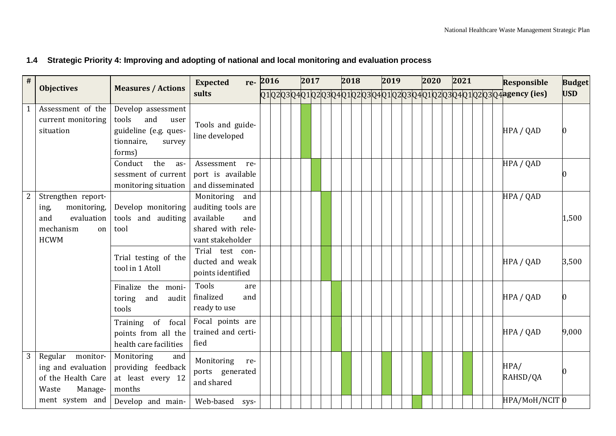# **1.4 Strategic Priority 4: Improving and adopting of national and local monitoring and evaluation process**

<span id="page-21-0"></span>

| # | <b>Objectives</b>                                                                                | <b>Measures / Actions</b>                                                                             | <b>Expected</b>                                                                                      | re-2016 |  | 2017 |  |  | 2018 |  |  | 2019 |  |  | 2020 |  |  | 2021 |  | <b>Responsible</b>                                                        | <b>Budget</b> |
|---|--------------------------------------------------------------------------------------------------|-------------------------------------------------------------------------------------------------------|------------------------------------------------------------------------------------------------------|---------|--|------|--|--|------|--|--|------|--|--|------|--|--|------|--|---------------------------------------------------------------------------|---------------|
|   |                                                                                                  |                                                                                                       | sults                                                                                                |         |  |      |  |  |      |  |  |      |  |  |      |  |  |      |  | Q1Q2Q3Q4Q1Q2Q3Q4Q1Q2Q3Q4Q1Q2Q3Q4Q1Q2qq1Q2Q3Q4Q1Q2Q3Q4Q1Q2Q3q4agency (ies) | <b>USD</b>    |
|   | Assessment of the<br>current monitoring<br>situation                                             | Develop assessment<br>tools<br>and<br>user<br>guideline (e.g. ques-<br>tionnaire,<br>survey<br>forms) | Tools and guide-<br>line developed                                                                   |         |  |      |  |  |      |  |  |      |  |  |      |  |  |      |  | HPA / QAD                                                                 |               |
|   |                                                                                                  | the<br>Conduct<br>as-<br>sessment of current<br>monitoring situation                                  | Assessment<br>re-<br>port is available<br>and disseminated                                           |         |  |      |  |  |      |  |  |      |  |  |      |  |  |      |  | HPA / QAD                                                                 |               |
|   | Strengthen report-<br>monitoring,<br>ing,<br>and<br>evaluation<br>mechanism<br>on<br><b>HCWM</b> | Develop monitoring<br>tools and auditing<br>tool                                                      | Monitoring<br>and<br>auditing tools are<br>available<br>and<br>shared with rele-<br>vant stakeholder |         |  |      |  |  |      |  |  |      |  |  |      |  |  |      |  | HPA / QAD                                                                 | 1,500         |
|   |                                                                                                  | Trial testing of the<br>tool in 1 Atoll                                                               | Trial test con-<br>ducted and weak<br>points identified                                              |         |  |      |  |  |      |  |  |      |  |  |      |  |  |      |  | HPA / QAD                                                                 | 3,500         |
|   |                                                                                                  | Finalize the moni-<br>and<br>toring<br>audit<br>tools                                                 | Tools<br>are<br>finalized<br>and<br>ready to use                                                     |         |  |      |  |  |      |  |  |      |  |  |      |  |  |      |  | HPA / QAD                                                                 |               |
|   |                                                                                                  | Training of focal<br>points from all the<br>health care facilities                                    | Focal points are<br>trained and certi-<br>fied                                                       |         |  |      |  |  |      |  |  |      |  |  |      |  |  |      |  | HPA / QAD                                                                 | 9,000         |
| 3 | Regular<br>monitor-<br>ing and evaluation<br>of the Health Care<br>Waste<br>Manage-              | Monitoring<br>and<br>providing feedback<br>at least every 12<br>months                                | Monitoring<br>re-<br>ports generated<br>and shared                                                   |         |  |      |  |  |      |  |  |      |  |  |      |  |  |      |  | HPA/<br>RAHSD/QA                                                          |               |
|   | ment system and                                                                                  | Develop and main-                                                                                     | Web-based sys-                                                                                       |         |  |      |  |  |      |  |  |      |  |  |      |  |  |      |  | HPA/MoH/NCIT 0                                                            |               |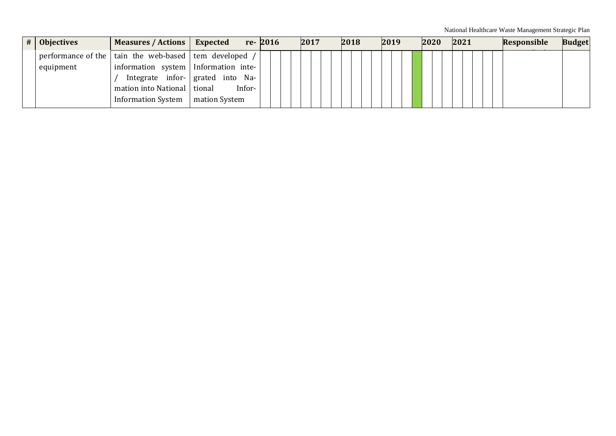| # | <b>Objectives</b> | Measures / Actions                                      | Expected                         | re-2016 | 2017 | 2018 | 2019 | 2020 | 2021 | <b>Responsible</b> | <b>Budget</b> |
|---|-------------------|---------------------------------------------------------|----------------------------------|---------|------|------|------|------|------|--------------------|---------------|
|   |                   | performance of the   tain the web-based   tem developed |                                  |         |      |      |      |      |      |                    |               |
|   | equipment         | information system   Information inte-                  |                                  |         |      |      |      |      |      |                    |               |
|   |                   |                                                         | Integrate infor- grated into Na- |         |      |      |      |      |      |                    |               |
|   |                   | mation into National   tional                           | Infor-                           |         |      |      |      |      |      |                    |               |
|   |                   | <b>Information System</b>                               | mation System                    |         |      |      |      |      |      |                    |               |